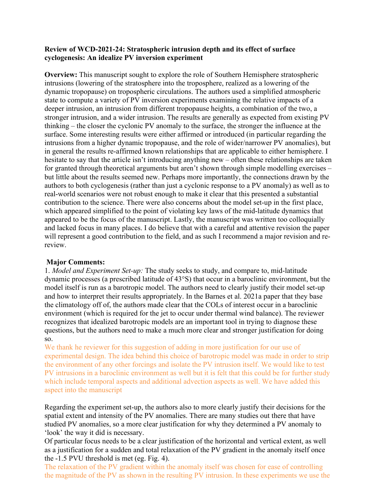## **Review of WCD-2021-24: Stratospheric intrusion depth and its effect of surface cyclogenesis: An idealize PV inversion experiment**

**Overview:** This manuscript sought to explore the role of Southern Hemisphere stratospheric intrusions (lowering of the stratosphere into the troposphere, realized as a lowering of the dynamic tropopause) on tropospheric circulations. The authors used a simplified atmospheric state to compute a variety of PV inversion experiments examining the relative impacts of a deeper intrusion, an intrusion from different tropopause heights, a combination of the two, a stronger intrusion, and a wider intrusion. The results are generally as expected from existing PV thinking – the closer the cyclonic PV anomaly to the surface, the stronger the influence at the surface. Some interesting results were either affirmed or introduced (in particular regarding the intrusions from a higher dynamic tropopause, and the role of wider/narrower PV anomalies), but in general the results re-affirmed known relationships that are applicable to either hemisphere. I hesitate to say that the article isn't introducing anything new – often these relationships are taken for granted through theoretical arguments but aren't shown through simple modelling exercises – but little about the results seemed new. Perhaps more importantly, the connections drawn by the authors to both cyclogenesis (rather than just a cyclonic response to a PV anomaly) as well as to real-world scenarios were not robust enough to make it clear that this presented a substantial contribution to the science. There were also concerns about the model set-up in the first place, which appeared simplified to the point of violating key laws of the mid-latitude dynamics that appeared to be the focus of the manuscript. Lastly, the manuscript was written too colloquially and lacked focus in many places. I do believe that with a careful and attentive revision the paper will represent a good contribution to the field, and as such I recommend a major revision and rereview.

## **Major Comments:**

1. *Model and Experiment Set-up:* The study seeks to study, and compare to, mid-latitude dynamic processes (a prescribed latitude of 43°S) that occur in a baroclinic environment, but the model itself is run as a barotropic model. The authors need to clearly justify their model set-up and how to interpret their results appropriately. In the Barnes et al. 2021a paper that they base the climatology off of, the authors made clear that the COLs of interest occur in a baroclinic environment (which is required for the jet to occur under thermal wind balance). The reviewer recognizes that idealized barotropic models are an important tool in trying to diagnose these questions, but the authors need to make a much more clear and stronger justification for doing so.

We thank he reviewer for this suggestion of adding in more justification for our use of experimental design. The idea behind this choice of barotropic model was made in order to strip the environment of any other forcings and isolate the PV intrusion itself. We would like to test PV intrusions in a baroclinic environment as well but it is felt that this could be for further study which include temporal aspects and additional advection aspects as well. We have added this aspect into the manuscript

Regarding the experiment set-up, the authors also to more clearly justify their decisions for the spatial extent and intensity of the PV anomalies. There are many studies out there that have studied PV anomalies, so a more clear justification for why they determined a PV anomaly to 'look' the way it did is necessary.

Of particular focus needs to be a clear justification of the horizontal and vertical extent, as well as a justification for a sudden and total relaxation of the PV gradient in the anomaly itself once the -1.5 PVU threshold is met (eg. Fig. 4).

The relaxation of the PV gradient within the anomaly itself was chosen for ease of controlling the magnitude of the PV as shown in the resulting PV intrusion. In these experiments we use the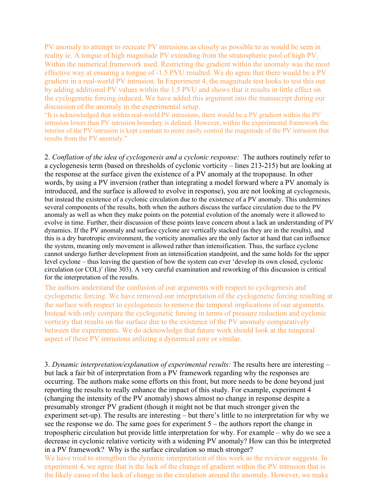PV anomaly to attempt to recreate PV intrusions as closely as possible to as would be seen in reality ie. A tongue of high magnitude PV extending from the stratospheric pool of high PV. Within the numerical framework used. Restricting the gradient within the anomaly was the most effective way at ensuring a tongue of -1.5 PVU resulted. We do agree that there would be a PV gradient in a real-world PV intrusion. In Experiment 4, the magnitude test looks to test this out by adding additional PV values within the 1.5 PVU and shows that it results in little effect on the cyclogenetic forcing induced. We have added this argument into the manuscript during our discussion of the anomaly in the experimental setup.

"It is acknowledged that within real-world PV intrusions, there would be a PV gradient within the PV intrusion lower than PV intrusion boundary is defined. However, within the experimental framework the interior of the PV intrusion is kept constant to more easily control the magnitude of the PV intrusion that results from the PV anomaly."

2. *Conflation of the idea of cyclogenesis and a cyclonic response:* The authors routinely refer to a cyclogenesis term (based on thresholds of cyclonic vorticity – lines 213-215) but are looking at the response at the surface given the existence of a PV anomaly at the tropopause. In other words, by using a PV inversion (rather than integrating a model forward where a PV anomaly is introduced, and the surface is allowed to evolve in response), you are not looking at cyclogenesis, but instead the existence of a cyclonic circulation due to the existence of a PV anomaly. This undermines several components of the results, both when the authors discuss the surface circulation due to the PV anomaly as well as when they make points on the potential evolution of the anomaly were it allowed to evolve in time. Further, their discussion of these points leave concern about a lack an understanding of PV dynamics. If the PV anomaly and surface cyclone are vertically stacked (as they are in the results), and this is a dry barotropic environment, the vorticity anomalies are the only factor at hand that can influence the system, meaning only movement is allowed rather than intensification. Thus, the surface cyclone cannot undergo further development from an intensification standpoint, and the same holds for the upper level cyclone – thus leaving the question of how the system can ever 'develop its own closed, cyclonic circulation (or COL)' (line 303). A very careful examination and reworking of this discussion is critical for the interpretation of the results.

The authors understand the confusion of our arguments with respect to cyclogenesis and cyclogenetic forcing. We have removed our interpretation of the cyclogenetic forcing resulting at the surface with respect to cyclogenesis to remove the temporal implications of our arguments. Instead with only compare the cyclogenetic forcing in terms of pressure reduction and cyclonic vorticity that results on the surface due to the existence of the PV anomaly comparatively between the experiments. We do acknowledge that future work should look at the temporal aspect of these PV intrusions utilizing a dynamical core or similar.

3. *Dynamic interpretation/explanation of experimental results:* The results here are interesting – but lack a fair bit of interpretation from a PV framework regarding why the responses are occurring. The authors make some efforts on this front, but more needs to be done beyond just reporting the results to really enhance the impact of this study. For example, experiment 4 (changing the intensity of the PV anomaly) shows almost no change in response despite a presumably stronger PV gradient (though it might not be that much stronger given the experiment set-up). The results are interesting – but there's little to no interpretation for why we see the response we do. The same goes for experiment 5 – the authors report the change in tropospheric circulation but provide little interpretation for why. For example – why do we see a decrease in cyclonic relative vorticity with a widening PV anomaly? How can this be interpreted in a PV framework? Why is the surface circulation so much stronger?

We have tried to strengthen the dynamic interpretation of this work as the reviewer suggests. In experiment 4, we agree that is the lack of the change of gradient within the PV intrusion that is the likely cause of the lack of change in the circulation around the anomaly. However, we make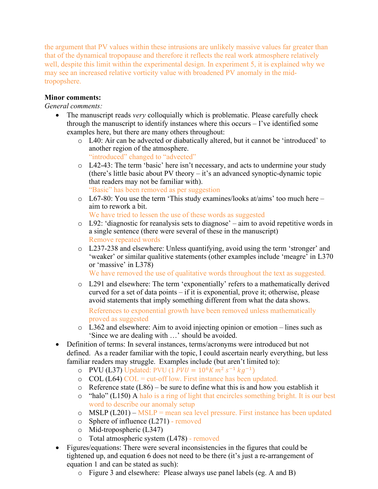the argument that PV values within these intrusions are unlikely massive values far greater than that of the dynamical tropopause and therefore it reflects the real work atmosphere relatively well, despite this limit within the experimental design. In experiment 5, it is explained why we may see an increased relative vorticity value with broadened PV anomaly in the midtropopshere.

## **Minor comments:**

## *General comments:*

- The manuscript reads *very* colloquially which is problematic. Please carefully check through the manuscript to identify instances where this occurs – I've identified some examples here, but there are many others throughout:
	- o L40: Air can be advected or diabatically altered, but it cannot be 'introduced' to another region of the atmosphere. "introduced" changed to "advected"
	- o L42-43: The term 'basic' here isn't necessary, and acts to undermine your study (there's little basic about PV theory – it's an advanced synoptic-dynamic topic that readers may not be familiar with). "Basic" has been removed as per suggestion
	- o L67-80: You use the term 'This study examines/looks at/aims' too much here aim to rework a bit.
		- We have tried to lessen the use of these words as suggested
	- $\circ$  L92: 'diagnostic for reanalysis sets to diagnose' aim to avoid repetitive words in a single sentence (there were several of these in the manuscript) Remove repeated words
	- o L237-238 and elsewhere: Unless quantifying, avoid using the term 'stronger' and 'weaker' or similar qualitive statements (other examples include 'meagre' in L370 or 'massive' in L378)

We have removed the use of qualitative words throughout the text as suggested.

o L291 and elsewhere: The term 'exponentially' refers to a mathematically derived curved for a set of data points – if it is exponential, prove it; otherwise, please avoid statements that imply something different from what the data shows.

References to exponential growth have been removed unless mathematically proved as suggested

- $\circ$  L362 and elsewhere: Aim to avoid injecting opinion or emotion lines such as 'Since we are dealing with …' should be avoided.
- Definition of terms: In several instances, terms/acronyms were introduced but not defined. As a reader familiar with the topic, I could ascertain nearly everything, but less familiar readers may struggle. Examples include (but aren't limited to):
	- o PVU (L37) Updated: PVU (1  $PVU = 10^6 K m^2 s^{-1} kg^{-1}$ )
	- $\degree$  COL (L64) COL = cut-off low. First instance has been updated.
	- $\circ$  Reference state (L86) be sure to define what this is and how you establish it
	- $\circ$  "halo" (L150) A halo is a ring of light that encircles something bright. It is our best word to describe our anomaly setup
	- o  $MSLP (L201) MSLP =$  mean sea level pressure. First instance has been updated
	- o Sphere of influence (L271) removed
	- o Mid-tropospheric (L347)
	- o Total atmospheric system (L478) removed
- Figures/equations: There were several inconsistencies in the figures that could be tightened up, and equation 6 does not need to be there (it's just a re-arrangement of equation 1 and can be stated as such):
	- o Figure 3 and elsewhere: Please always use panel labels (eg. A and B)